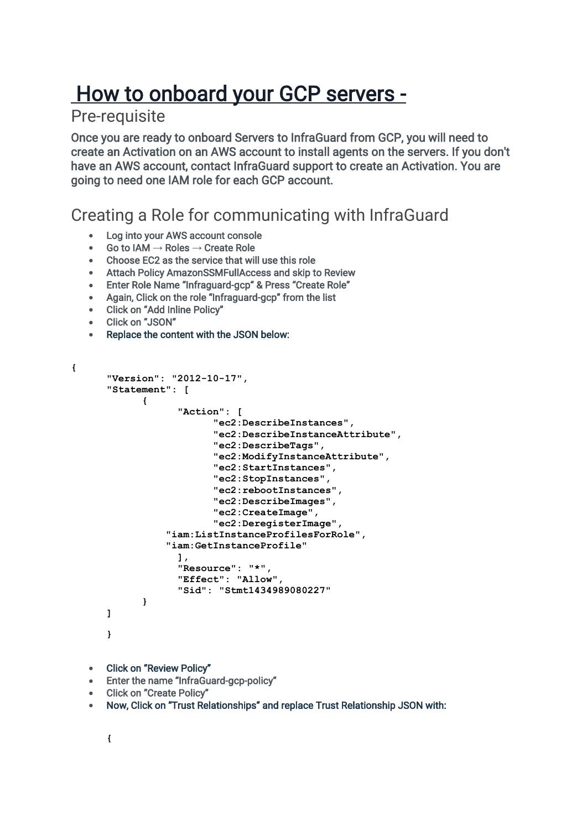# How to onboard your GCP servers -

### Pre-requisite

Once you are ready to onboard Servers to InfraGuard from GCP, you will need to create an Activation on an AWS account to install agents on the servers. If you don't have an AWS account, contact InfraGuard support to create an Activation. You are going to need one IAM role for each GCP account.

### Creating a Role for communicating with InfraGuard

- Log into your AWS account console
- Go to IAM **→** Roles **→** Create Role
- Choose EC2 as the service that will use this role
- Attach Policy AmazonSSMFullAccess and skip to Review
- Enter Role Name "Infraguard-gcp" & Press "Create Role"
- Again, Click on the role "Infraguard-gcp" from the list
- Click on "Add Inline Policy"
- Click on "JSON"
- Replace the content with the JSON below:

```
{
```

```
"Version": "2012-10-17",
"Statement": [
      {
            "Action": [
                  "ec2:DescribeInstances",
                   "ec2:DescribeInstanceAttribute",
                   "ec2:DescribeTags",
                   "ec2:ModifyInstanceAttribute",
                   "ec2:StartInstances",
                   "ec2:StopInstances",
                   "ec2:rebootInstances",
                   "ec2:DescribeImages",
                   "ec2:CreateImage",
                   "ec2:DeregisterImage",
           "iam:ListInstanceProfilesForRole",
           "iam:GetInstanceProfile"
            ],
            "Resource": "*",
            "Effect": "Allow",
            "Sid": "Stmt1434989080227"
      }
]
}
```
- Click on "Review Policy"
- Enter the name "InfraGuard-gcp-policy"
- Click on "Create Policy"
- Now, Click on "Trust Relationships" and replace Trust Relationship JSON with: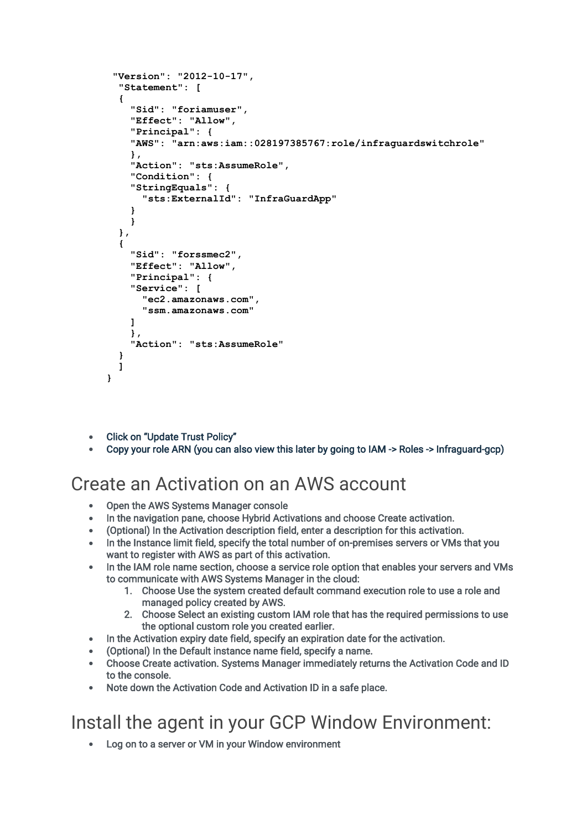```
"Version": "2012-10-17",
  "Statement": [
  {
    "Sid": "foriamuser",
    "Effect": "Allow",
    "Principal": {
    "AWS": "arn:aws:iam::028197385767:role/infraguardswitchrole"
    },
    "Action": "sts:AssumeRole",
    "Condition": {
    "StringEquals": {
      "sts:ExternalId": "InfraGuardApp"
    }
    }
  },
  {
    "Sid": "forssmec2",
    "Effect": "Allow",
    "Principal": {
    "Service": [
      "ec2.amazonaws.com",
      "ssm.amazonaws.com"
    ]
    },
    "Action": "sts:AssumeRole"
  }
  ]
}
```
- Click on "Update Trust Policy"
- Copy your role ARN (you can also view this later by going to IAM -> Roles -> Infraguard-gcp)

### Create an Activation on an AWS account

- Open the AWS Systems Manager console
- In the navigation pane, choose Hybrid Activations and choose Create activation.
- (Optional) In the Activation description field, enter a description for this activation.
- In the Instance limit field, specify the total number of on-premises servers or VMs that you want to register with AWS as part of this activation.
- In the IAM role name section, choose a service role option that enables your servers and VMs to communicate with AWS Systems Manager in the cloud:
	- 1. Choose Use the system created default command execution role to use a role and managed policy created by AWS.
	- 2. Choose Select an existing custom IAM role that has the required permissions to use the optional custom role you created earlier.
- In the Activation expiry date field, specify an expiration date for the activation.
- (Optional) In the Default instance name field, specify a name.
- Choose Create activation. Systems Manager immediately returns the Activation Code and ID to the console.
- Note down the Activation Code and Activation ID in a safe place.

# Install the agent in your GCP Window Environment:

Log on to a server or VM in your Window environment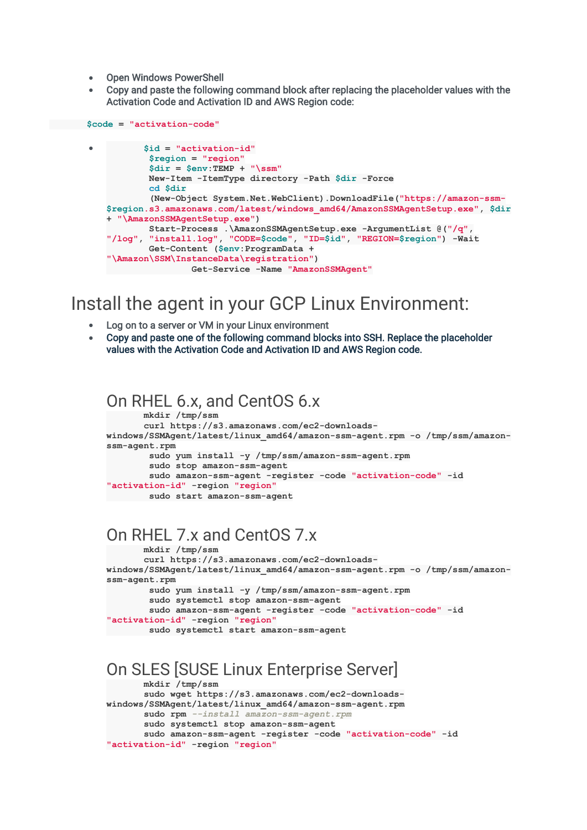- Open Windows PowerShell
- Copy and paste the following command block after replacing the placeholder values with the Activation Code and Activation ID and AWS Region code:

```
 $code = "activation-code"
          • $id = "activation-id"
            $region = "region"
            $dir = $env:TEMP + "\ssm"
           New-Item -ItemType directory -Path $dir -Force
           cd $dir
            (New-Object System.Net.WebClient).DownloadFile("https://amazon-ssm-
   $region.s3.amazonaws.com/latest/windows_amd64/AmazonSSMAgentSetup.exe", $dir
   + "\AmazonSSMAgentSetup.exe")
           Start-Process .\AmazonSSMAgentSetup.exe -ArgumentList @("/q", 
   "/log", "install.log", "CODE=$code", "ID=$id", "REGION=$region") -Wait
            Get-Content ($env:ProgramData + 
   "\Amazon\SSM\InstanceData\registration")
               Get-Service -Name "AmazonSSMAgent"
```
### Install the agent in your GCP Linux Environment:

- Log on to a server or VM in your Linux environment
- Copy and paste one of the following command blocks into SSH. Replace the placeholder values with the Activation Code and Activation ID and AWS Region code.

#### On RHEL 6.x, and CentOS 6.x  **mkdir /tmp/ssm curl https://s3.amazonaws.com/ec2-downloads**windows/SSMAgent/latest/linux amd64/amazon-ssm-agent.rpm -o /tmp/ssm/amazon**ssm-agent.rpm sudo yum install -y /tmp/ssm/amazon-ssm-agent.rpm sudo stop amazon-ssm-agent sudo amazon-ssm-agent -register -code "activation-code" -id "activation-id" -region "region" sudo start amazon-ssm-agent**

### On RHEL 7.x and CentOS 7.x

 **mkdir /tmp/ssm curl https://s3.amazonaws.com/ec2-downloadswindows/SSMAgent/latest/linux\_amd64/amazon-ssm-agent.rpm -o /tmp/ssm/amazonssm-agent.rpm sudo yum install -y /tmp/ssm/amazon-ssm-agent.rpm sudo systemctl stop amazon-ssm-agent sudo amazon-ssm-agent -register -code "activation-code" -id "activation-id" -region "region" sudo systemctl start amazon-ssm-agent**

### On SLES [SUSE Linux Enterprise Server]

```
 mkdir /tmp/ssm
        sudo wget https://s3.amazonaws.com/ec2-downloads-
windows/SSMAgent/latest/linux_amd64/amazon-ssm-agent.rpm
        sudo rpm --install amazon-ssm-agent.rpm
        sudo systemctl stop amazon-ssm-agent
        sudo amazon-ssm-agent -register -code "activation-code" -id 
"activation-id" -region "region"
```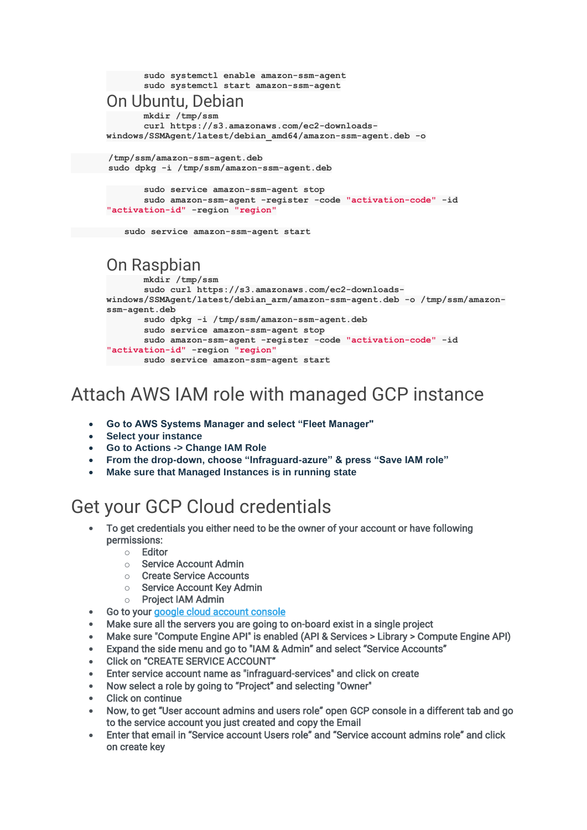```
 sudo systemctl enable amazon-ssm-agent
           sudo systemctl start amazon-ssm-agent
    On Ubuntu, Debian
           mkdir /tmp/ssm
           curl https://s3.amazonaws.com/ec2-downloads-
   windows/SSMAgent/latest/debian_amd64/amazon-ssm-agent.deb -o
     /tmp/ssm/amazon-ssm-agent.deb
     sudo dpkg -i /tmp/ssm/amazon-ssm-agent.deb
           sudo service amazon-ssm-agent stop
           sudo amazon-ssm-agent -register -code "activation-code" -id 
    "activation-id" -region "region"
 sudo service amazon-ssm-agent start
   On Raspbian
           mkdir /tmp/ssm
           sudo curl https://s3.amazonaws.com/ec2-downloads-
   windows/SSMAgent/latest/debian_arm/amazon-ssm-agent.deb -o /tmp/ssm/amazon-
   ssm-agent.deb
           sudo dpkg -i /tmp/ssm/amazon-ssm-agent.deb
           sudo service amazon-ssm-agent stop
           sudo amazon-ssm-agent -register -code "activation-code" -id 
    "activation-id" -region "region"
         sudo service amazon-ssm-agent start
```
## Attach AWS IAM role with managed GCP instance

- **Go to AWS Systems Manager and select "Fleet Manager"**
- **Select your instance**
- **Go to Actions -> Change IAM Role**
- **From the drop-down, choose "Infraguard-azure" & press "Save IAM role"**
- **Make sure that Managed Instances is in running state**

# Get your GCP Cloud credentials

- To get credentials you either need to be the owner of your account or have following permissions:
	- o Editor
	- o Service Account Admin
	- o Create Service Accounts
	- o Service Account Key Admin
	- o Project IAM Admin
- Go to your [google cloud account console](https://console.cloud.google.com/)
- Make sure all the servers you are going to on-board exist in a single project
- Make sure "Compute Engine API" is enabled (API & Services > Library > Compute Engine API)
- Expand the side menu and go to "IAM & Admin" and select "Service Accounts"
- Click on "CREATE SERVICE ACCOUNT"
- Enter service account name as "infraguard-services" and click on create
- Now select a role by going to "Project" and selecting "Owner"
- **Click on continue**
- Now, to get "User account admins and users role" open GCP console in a different tab and go to the service account you just created and copy the Email
- Enter that email in "Service account Users role" and "Service account admins role" and click on create key